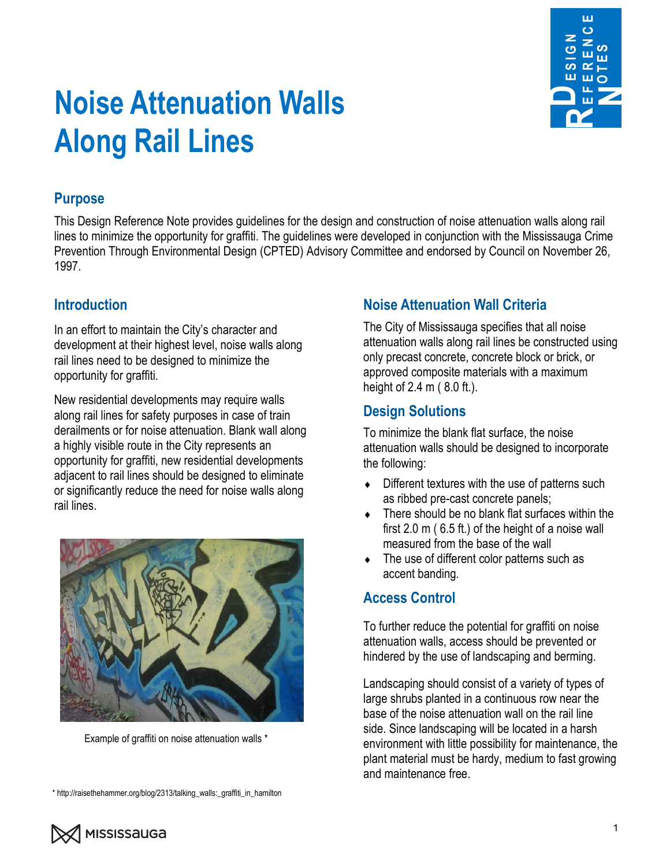

# **Noise Attenuation Walls Along Rail Lines**

#### **Purpose**

This Design Reference Note provides guidelines for the design and construction of noise attenuation walls along rail lines to minimize the opportunity for graffiti. The guidelines were developed in conjunction with the Mississauga Crime Prevention Through Environmental Design (CPTED) Advisory Committee and endorsed by Council on November 26, 1997.

## **Introduction**

In an effort to maintain the City's character and development at their highest level, noise walls along rail lines need to be designed to minimize the opportunity for graffiti.

New residential developments may require walls along rail lines for safety purposes in case of train derailments or for noise attenuation. Blank wall along a highly visible route in the City represents an opportunity for graffiti, new residential developments adjacent to rail lines should be designed to eliminate or significantly reduce the need for noise walls along rail lines.



Example of graffiti on noise attenuation walls \*

\* http://raisethehammer.org/blog/2313/talking\_walls:\_graffiti\_in\_hamilton

## **Noise Attenuation Wall Criteria**

The City of Mississauga specifies that all noise attenuation walls along rail lines be constructed using only precast concrete, concrete block or brick, or approved composite materials with a maximum height of 2.4 m ( 8.0 ft.).

#### **Design Solutions**

To minimize the blank flat surface, the noise attenuation walls should be designed to incorporate the following:

- Different textures with the use of patterns such as ribbed pre-cast concrete panels;
- There should be no blank flat surfaces within the first 2.0 m ( 6.5 ft.) of the height of a noise wall measured from the base of the wall
- The use of different color patterns such as accent banding.

#### **Access Control**

To further reduce the potential for graffiti on noise attenuation walls, access should be prevented or hindered by the use of landscaping and berming.

Landscaping should consist of a variety of types of large shrubs planted in a continuous row near the base of the noise attenuation wall on the rail line side. Since landscaping will be located in a harsh environment with little possibility for maintenance, the plant material must be hardy, medium to fast growing and maintenance free.